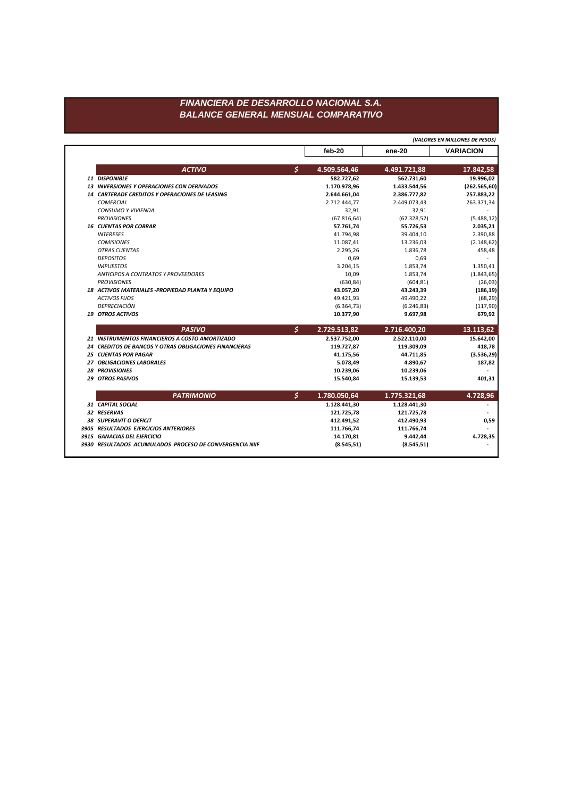## FINANCIERA DE DESARROLLO NACIONAL S.A. **BALANCE GENERAL MENSUAL COMPARATIVO**

|                                                        | (VALORES EN MILLONES DE PESOS) |              |                  |  |  |
|--------------------------------------------------------|--------------------------------|--------------|------------------|--|--|
|                                                        | feb-20                         | ene-20       | <b>VARIACION</b> |  |  |
| <b>ACTIVO</b>                                          | \$<br>4.509.564,46             | 4.491.721,88 | 17.842,58        |  |  |
| 11 DISPONIBLE                                          | 582.727,62                     | 562.731,60   | 19.996,02        |  |  |
| <b>13 INVERSIONES Y OPERACIONES CON DERIVADOS</b>      | 1.170.978,96                   | 1.433.544,56 | (262.565, 60)    |  |  |
| 14 CARTERADE CREDITOS Y OPERACIONES DE LEASING         | 2.644.661,04                   | 2.386.777,82 | 257.883,22       |  |  |
| <b>COMERCIAL</b>                                       | 2.712.444,77                   | 2.449.073,43 | 263.371,34       |  |  |
| <b>CONSUMO Y VIVIENDA</b>                              | 32,91                          | 32,91        |                  |  |  |
| <b>PROVISIONES</b>                                     | (67.816, 64)                   | (62.328, 52) | (5.488, 12)      |  |  |
| <b>16 CUENTAS POR COBRAR</b>                           | 57.761,74                      | 55.726,53    | 2.035,21         |  |  |
| <b>INTERESES</b>                                       | 41.794,98                      | 39.404,10    | 2.390,88         |  |  |
| <b>COMISIONES</b>                                      | 11.087,41                      | 13.236,03    | (2.148, 62)      |  |  |
| <b>OTRAS CUENTAS</b>                                   | 2.295,26                       | 1.836,78     | 458,48           |  |  |
| <b>DEPOSITOS</b>                                       | 0,69                           | 0.69         |                  |  |  |
| <b>IMPUESTOS</b>                                       | 3.204,15                       | 1.853,74     | 1.350,41         |  |  |
| ANTICIPOS A CONTRATOS Y PROVEEDORES                    | 10,09                          | 1.853,74     | (1.843, 65)      |  |  |
| <b>PROVISIONES</b>                                     | (630, 84)                      | (604, 81)    | (26, 03)         |  |  |
| 18 ACTIVOS MATERIALES -PROPIEDAD PLANTA Y EQUIPO       | 43.057,20                      | 43.243,39    | (186, 19)        |  |  |
| <b>ACTIVOS FIJOS</b>                                   | 49.421,93                      | 49.490,22    | (68, 29)         |  |  |
| DEPRECIACIÓN                                           | (6.364, 73)                    | (6.246, 83)  | (117,90)         |  |  |
| <b>19 OTROS ACTIVOS</b>                                | 10.377,90                      | 9.697,98     | 679,92           |  |  |
| <b>PASIVO</b>                                          | \$<br>2.729.513,82             | 2.716.400,20 | 13.113,62        |  |  |
| 21 INSTRUMENTOS FINANCIEROS A COSTO AMORTIZADO         | 2.537.752,00                   | 2.522.110,00 | 15.642,00        |  |  |
| 24 CREDITOS DE BANCOS Y OTRAS OBLIGACIONES FINANCIERAS | 119.727,87                     | 119.309,09   | 418,78           |  |  |
| <b>25 CUENTAS POR PAGAR</b>                            | 41.175,56                      | 44.711,85    | (3.536, 29)      |  |  |
| 27 OBLIGACIONES LABORALES                              | 5.078,49                       | 4.890,67     | 187,82           |  |  |
| <b>28 PROVISIONES</b>                                  | 10.239,06                      | 10.239,06    |                  |  |  |
| <b>29 OTROS PASIVOS</b>                                | 15.540,84                      | 15.139,53    | 401,31           |  |  |
| <b>PATRIMONIO</b>                                      | \$<br>1.780.050,64             | 1.775.321,68 | 4.728,96         |  |  |
| 31 CAPITAL SOCIAL                                      | 1.128.441,30                   | 1.128.441,30 |                  |  |  |
| 32 RESERVAS                                            | 121.725,78                     | 121.725,78   |                  |  |  |
| <b>38 SUPERAVIT O DEFICIT</b>                          | 412.491,52                     | 412.490,93   | 0,59             |  |  |
| 3905 RESULTADOS EJERCICIOS ANTERIORES                  | 111.766,74                     | 111.766,74   |                  |  |  |
| 3915 GANACIAS DEL EJERCICIO                            | 14.170,81                      | 9.442,44     | 4.728,35         |  |  |
|                                                        |                                |              |                  |  |  |